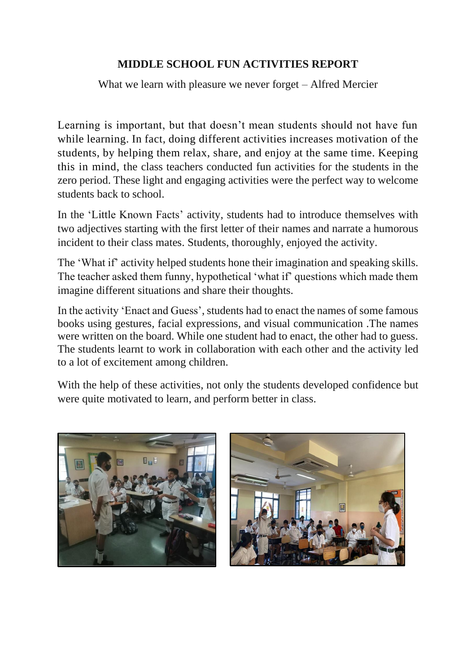## **MIDDLE SCHOOL FUN ACTIVITIES REPORT**

What we learn with pleasure we never forget – Alfred Mercier

Learning is important, but that doesn't mean students should not have fun while learning. In fact, doing different activities increases motivation of the students, by helping them relax, share, and enjoy at the same time. Keeping this in mind, the class teachers conducted fun activities for the students in the zero period. These light and engaging activities were the perfect way to welcome students back to school.

In the 'Little Known Facts' activity, students had to introduce themselves with two adjectives starting with the first letter of their names and narrate a humorous incident to their class mates. Students, thoroughly, enjoyed the activity.

The 'What if' activity helped students hone their imagination and speaking skills. The teacher asked them funny, hypothetical 'what if' questions which made them imagine different situations and share their thoughts.

In the activity 'Enact and Guess', students had to enact the names of some famous books using gestures, facial expressions, and visual communication .The names were written on the board. While one student had to enact, the other had to guess. The students learnt to work in collaboration with each other and the activity led to a lot of excitement among children.

With the help of these activities, not only the students developed confidence but were quite motivated to learn, and perform better in class.